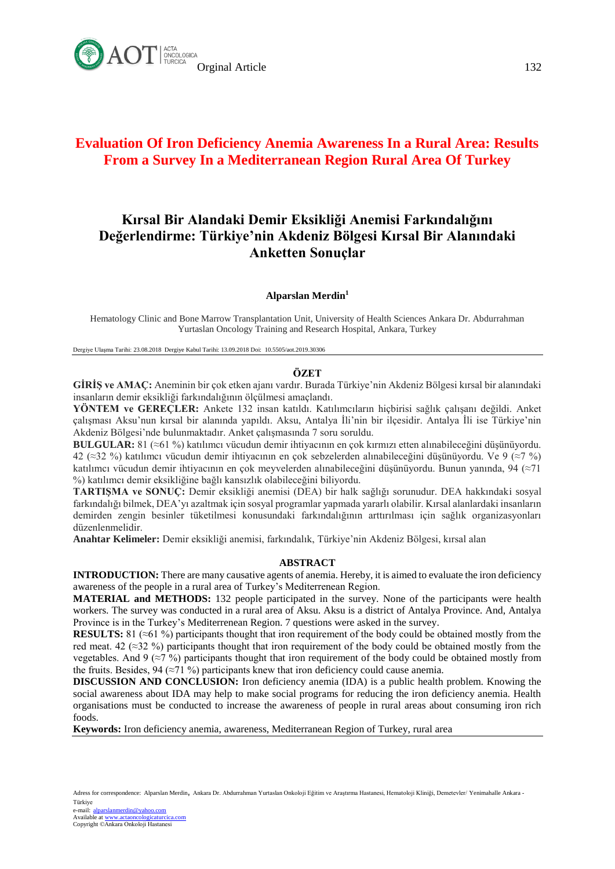

# **Evaluation Of Iron Deficiency Anemia Awareness In a Rural Area: Results From a Survey In a Mediterranean Region Rural Area Of Turkey**

# **Kırsal Bir Alandaki Demir Eksikliği Anemisi Farkındalığını Değerlendirme: Türkiye'nin Akdeniz Bölgesi Kırsal Bir Alanındaki Anketten Sonuçlar**

#### **Alparslan Merdin<sup>1</sup>**

Hematology Clinic and Bone Marrow Transplantation Unit, University of Health Sciences Ankara Dr. Abdurrahman Yurtaslan Oncology Training and Research Hospital, Ankara, Turkey

Dergiye Ulaşma Tarihi: 23.08.2018 Dergiye Kabul Tarihi: 13.09.2018 Doi: 10.5505/aot.2019.30306

#### **ÖZET**

**GİRİŞ ve AMAÇ:** Aneminin bir çok etken ajanı vardır. Burada Türkiye'nin Akdeniz Bölgesi kırsal bir alanındaki insanların demir eksikliği farkındalığının ölçülmesi amaçlandı.

**YÖNTEM ve GEREÇLER:** Ankete 132 insan katıldı. Katılımcıların hiçbirisi sağlık çalışanı değildi. Anket çalışması Aksu'nun kırsal bir alanında yapıldı. Aksu, Antalya İli'nin bir ilçesidir. Antalya İli ise Türkiye'nin Akdeniz Bölgesi'nde bulunmaktadır. Anket çalışmasında 7 soru soruldu.

**BULGULAR:** 81 (≈61 %) katılımcı vücudun demir ihtiyacının en çok kırmızı etten alınabileceğini düşünüyordu. 42 (≈32 %) katılımcı vücudun demir ihtiyacının en çok sebzelerden alınabileceğini düşünüyordu. Ve 9 (≈7 %) katılımcı vücudun demir ihtiyacının en çok meyvelerden alınabileceğini düşünüyordu. Bunun yanında, 94 (≈71 %) katılımcı demir eksikliğine bağlı kansızlık olabileceğini biliyordu.

**TARTIŞMA ve SONUÇ:** Demir eksikliği anemisi (DEA) bir halk sağlığı sorunudur. DEA hakkındaki sosyal farkındalığı bilmek, DEA'yı azaltmak için sosyal programlar yapmada yararlı olabilir. Kırsal alanlardaki insanların demirden zengin besinler tüketilmesi konusundaki farkındalığının arttırılması için sağlık organizasyonları düzenlenmelidir.

**Anahtar Kelimeler:** Demir eksikliği anemisi, farkındalık, Türkiye'nin Akdeniz Bölgesi, kırsal alan

#### **ABSTRACT**

**INTRODUCTION:** There are many causative agents of anemia. Hereby, it is aimed to evaluate the iron deficiency awareness of the people in a rural area of Turkey's Mediterrenean Region.

**MATERIAL and METHODS:** 132 people participated in the survey. None of the participants were health workers. The survey was conducted in a rural area of Aksu. Aksu is a district of Antalya Province. And, Antalya Province is in the Turkey's Mediterrenean Region. 7 questions were asked in the survey.

**RESULTS:** 81 (≈61 %) participants thought that iron requirement of the body could be obtained mostly from the red meat. 42 ( $\approx$ 32 %) participants thought that iron requirement of the body could be obtained mostly from the vegetables. And 9 (≈7 %) participants thought that iron requirement of the body could be obtained mostly from the fruits. Besides, 94 ( $\approx$ 71 %) participants knew that iron deficiency could cause anemia.

**DISCUSSION AND CONCLUSION:** Iron deficiency anemia (IDA) is a public health problem. Knowing the social awareness about IDA may help to make social programs for reducing the iron deficiency anemia. Health organisations must be conducted to increase the awareness of people in rural areas about consuming iron rich foods.

**Keywords:** Iron deficiency anemia, awareness, Mediterranean Region of Turkey, rural area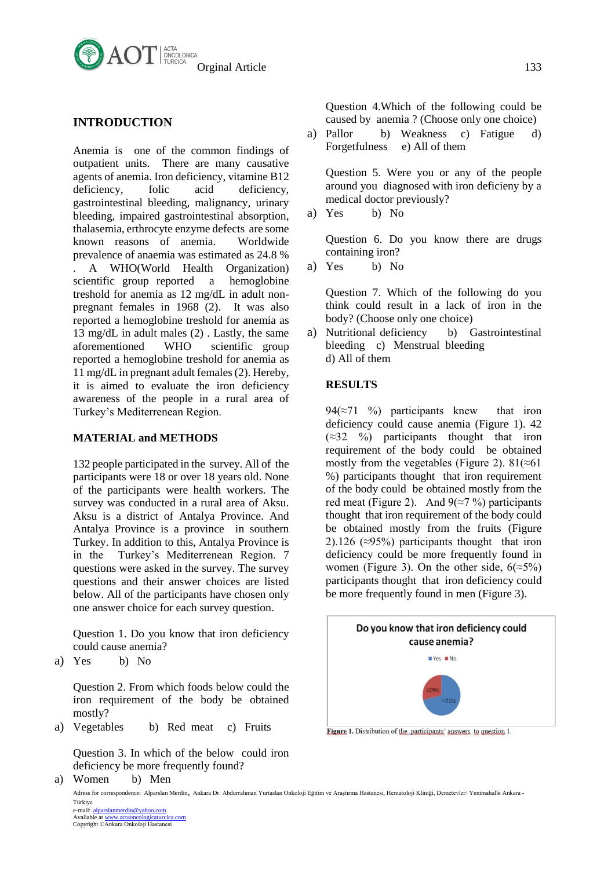

# **INTRODUCTION**

Anemia is one of the common findings of outpatient units. There are many causative agents of anemia. Iron deficiency, vitamine B12 deficiency, folic acid deficiency, gastrointestinal bleeding, malignancy, urinary bleeding, impaired gastrointestinal absorption, thalasemia, erthrocyte enzyme defects are some known reasons of anemia. Worldwide prevalence of anaemia was estimated as 24.8 % . A WHO(World Health Organization) scientific group reported a hemoglobine treshold for anemia as 12 mg/dL in adult nonpregnant females in 1968 (2). It was also reported a hemoglobine treshold for anemia as 13 mg/dL in adult males (2) . Lastly, the same aforementioned WHO scientific group reported a hemoglobine treshold for anemia as 11 mg/dL in pregnant adult females (2). Hereby, it is aimed to evaluate the iron deficiency awareness of the people in a rural area of Turkey's Mediterrenean Region.

# **MATERIAL and METHODS**

132 people participated in the survey. All of the participants were 18 or over 18 years old. None of the participants were health workers. The survey was conducted in a rural area of Aksu. Aksu is a district of Antalya Province. And Antalya Province is a province in southern Turkey. In addition to this, Antalya Province is in the Turkey's Mediterrenean Region. 7 questions were asked in the survey. The survey questions and their answer choices are listed below. All of the participants have chosen only one answer choice for each survey question.

Question 1. Do you know that iron deficiency could cause anemia?

a) Yes b) No

Question 2. From which foods below could the iron requirement of the body be obtained mostly?

a) Vegetables b) Red meat c) Fruits

Question 3. In which of the below could iron deficiency be more frequently found?

a) Women b) Men

Question 4.Which of the following could be caused by anemia ? (Choose only one choice)

a) Pallor b) Weakness c) Fatigue d) Forgetfulness e) All of them

Question 5. Were you or any of the people around you diagnosed with iron deficieny by a medical doctor previously?

a) Yes b) No

Question 6. Do you know there are drugs containing iron?

a) Yes b) No

Question 7. Which of the following do you think could result in a lack of iron in the body? (Choose only one choice)

a) Nutritional deficiency b) Gastrointestinal bleeding c) Menstrual bleeding d) All of them

#### **RESULTS**

94( $\approx$ 71 %) participants knew that iron deficiency could cause anemia (Figure 1). 42  $(\approx 32 \degree 96)$  participants thought that iron requirement of the body could be obtained mostly from the vegetables (Figure 2). 81( $\approx$ 61 %) participants thought that iron requirement of the body could be obtained mostly from the red meat (Figure 2). And  $9(\approx 7\%)$  participants thought that iron requirement of the body could be obtained mostly from the fruits (Figure 2).126 ( $\approx$ 95%) participants thought that iron deficiency could be more frequently found in women (Figure 3). On the other side,  $6(\approx 5\%)$ participants thought that iron deficiency could be more frequently found in men (Figure 3).



Figure 1. Distribution of the participants' answers to question 1.

Adress for correspondence: Alparslan Merdin, Ankara Dr. Abdurrahman Yurtaslan Onkoloji Eğitim ve Araştırma Hastanesi, Hematoloji Kliniği, Demetevler/ Yenimahalle Ankara - Türkiye

e-mail: <u>[alparslanmerdin@yahoo.com](javascript:admin()</u><br>Available at <u>www.actaoncologicaturcica.com</u><br>Copyright ©Ankara Onkoloji Hastanesi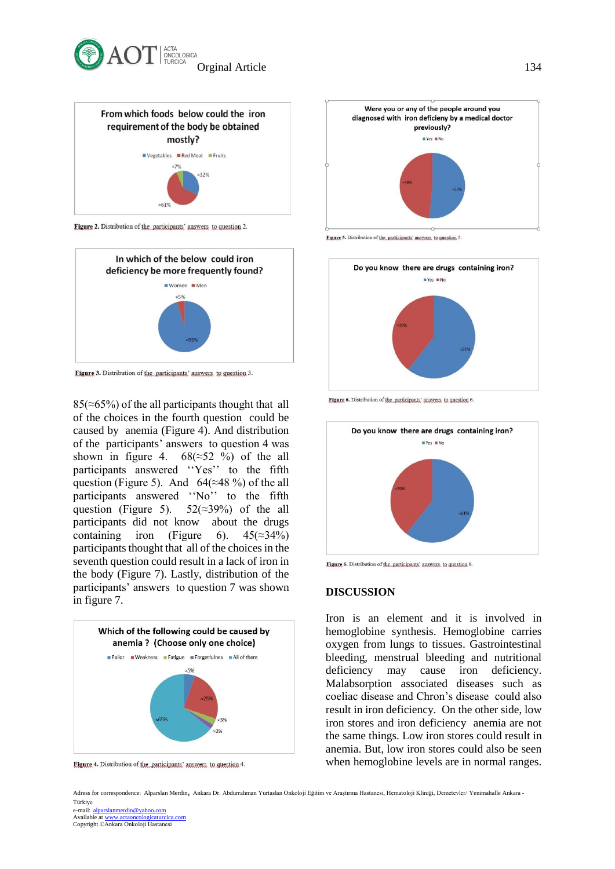



Figure 2. Distribution of the participants' answers to question 2.



Figure 3. Distribution of the participants' answers to question 3.

 $85(\approx 65\%)$  of the all participants thought that all of the choices in the fourth question could be caused by anemia (Figure 4). And distribution of the participants' answers to question 4 was shown in figure 4.  $68(\approx 52\% )$  of the all participants answered ''Yes'' to the fifth question (Figure 5). And  $64(\approx 48\%)$  of the all participants answered ''No'' to the fifth question (Figure 5).  $52(\approx 39\%)$  of the all participants did not know about the drugs containing iron (Figure 6).  $45(\approx 34\%)$ participants thought that all of the choices in the seventh question could result in a lack of iron in the body (Figure 7). Lastly, distribution of the participants' answers to question 7 was shown in figure 7.



Figure 4. Distribution of the participants' answers to question 4.



Figure 5. Distribution of the participants' answers to question 5



Figure 6. Distribution of the participants' answers to question 6



Figure 6. Distribution of the participants' answers to question 6.

### **DISCUSSION**

Iron is an element and it is involved in hemoglobine synthesis. Hemoglobine carries oxygen from lungs to tissues. Gastrointestinal bleeding, menstrual bleeding and nutritional deficiency may cause iron deficiency. Malabsorption associated diseases such as coeliac disease and Chron's disease could also result in iron deficiency. On the other side, low iron stores and iron deficiency anemia are not the same things. Low iron stores could result in anemia. But, low iron stores could also be seen when hemoglobine levels are in normal ranges.

Adress for correspondence: Alparslan Merdin, Ankara Dr. Abdurrahman Yurtaslan Onkoloji Eğitim ve Araştırma Hastanesi, Hematoloji Kliniği, Demetevler/ Yenimahalle Ankara - Türkiye